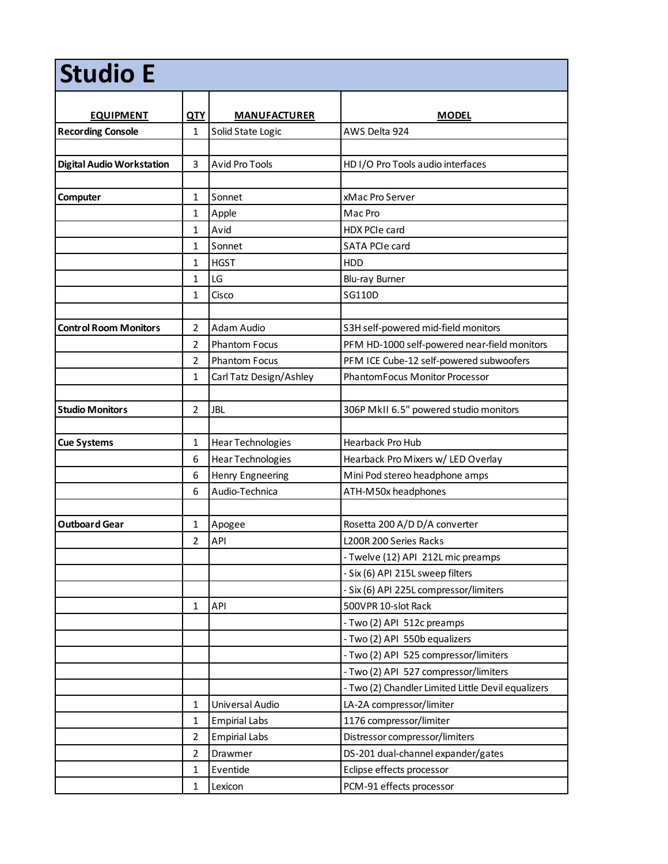| <b>Studio E</b>                  |                |                         |                                                    |  |  |
|----------------------------------|----------------|-------------------------|----------------------------------------------------|--|--|
| <b>EQUIPMENT</b>                 | <u>QTY</u>     | <b>MANUFACTURER</b>     | <b>MODEL</b>                                       |  |  |
| <b>Recording Console</b>         | $\mathbf{1}$   | Solid State Logic       | AWS Delta 924                                      |  |  |
|                                  |                |                         |                                                    |  |  |
| <b>Digital Audio Workstation</b> | 3              | <b>Avid Pro Tools</b>   | HD I/O Pro Tools audio interfaces                  |  |  |
|                                  |                |                         |                                                    |  |  |
| Computer                         | $\mathbf{1}$   | Sonnet                  | xMac Pro Server                                    |  |  |
|                                  | $\mathbf{1}$   | Apple                   | Mac Pro                                            |  |  |
|                                  | $\mathbf{1}$   | Avid                    | <b>HDX PCIe card</b>                               |  |  |
|                                  | $\mathbf{1}$   | Sonnet                  | SATA PCIe card                                     |  |  |
|                                  | $\mathbf{1}$   | <b>HGST</b>             | <b>HDD</b>                                         |  |  |
|                                  | $\mathbf{1}$   | LG                      | Blu-ray Burner                                     |  |  |
|                                  | $\mathbf{1}$   | Cisco                   | SG110D                                             |  |  |
|                                  |                |                         |                                                    |  |  |
| <b>Control Room Monitors</b>     | $\overline{2}$ | Adam Audio              | S3H self-powered mid-field monitors                |  |  |
|                                  | $\overline{2}$ | <b>Phantom Focus</b>    | PFM HD-1000 self-powered near-field monitors       |  |  |
|                                  | $\overline{2}$ | <b>Phantom Focus</b>    | PFM ICE Cube-12 self-powered subwoofers            |  |  |
|                                  | $\mathbf{1}$   | Carl Tatz Design/Ashley | PhantomFocus Monitor Processor                     |  |  |
|                                  |                |                         |                                                    |  |  |
| <b>Studio Monitors</b>           | $\overline{2}$ | <b>JBL</b>              | 306P MkII 6.5" powered studio monitors             |  |  |
|                                  |                |                         |                                                    |  |  |
| <b>Cue Systems</b>               | $\mathbf{1}$   | Hear Technologies       | <b>Hearback Pro Hub</b>                            |  |  |
|                                  | 6              | Hear Technologies       | Hearback Pro Mixers w/ LED Overlay                 |  |  |
|                                  | 6              | Henry Engneering        | Mini Pod stereo headphone amps                     |  |  |
|                                  | 6              | Audio-Technica          | ATH-M50x headphones                                |  |  |
|                                  |                |                         |                                                    |  |  |
| <b>Outboard Gear</b>             | $\mathbf{1}$   | Apogee                  | Rosetta 200 A/D D/A converter                      |  |  |
|                                  | $\overline{2}$ | <b>API</b>              | L200R 200 Series Racks                             |  |  |
|                                  |                |                         | - Twelve (12) API 212L mic preamps                 |  |  |
|                                  |                |                         | - Six (6) API 215L sweep filters                   |  |  |
|                                  |                |                         | - Six (6) API 225L compressor/limiters             |  |  |
|                                  | $\mathbf{1}$   | API                     | 500VPR 10-slot Rack                                |  |  |
|                                  |                |                         | - Two (2) API 512c preamps                         |  |  |
|                                  |                |                         | - Two (2) API 550b equalizers                      |  |  |
|                                  |                |                         | - Two (2) API 525 compressor/limiters              |  |  |
|                                  |                |                         | - Two (2) API 527 compressor/limiters              |  |  |
|                                  |                |                         | - Two (2) Chandler Limited Little Devil equalizers |  |  |
|                                  | $\mathbf{1}$   | Universal Audio         | LA-2A compressor/limiter                           |  |  |
|                                  | $\mathbf{1}$   | <b>Empirial Labs</b>    | 1176 compressor/limiter                            |  |  |
|                                  | $\overline{2}$ | <b>Empirial Labs</b>    | Distressor compressor/limiters                     |  |  |
|                                  | $\overline{2}$ | Drawmer                 | DS-201 dual-channel expander/gates                 |  |  |
|                                  | $\mathbf{1}$   | Eventide                | Eclipse effects processor                          |  |  |
|                                  | $\mathbf{1}$   | Lexicon                 | PCM-91 effects processor                           |  |  |
|                                  |                |                         |                                                    |  |  |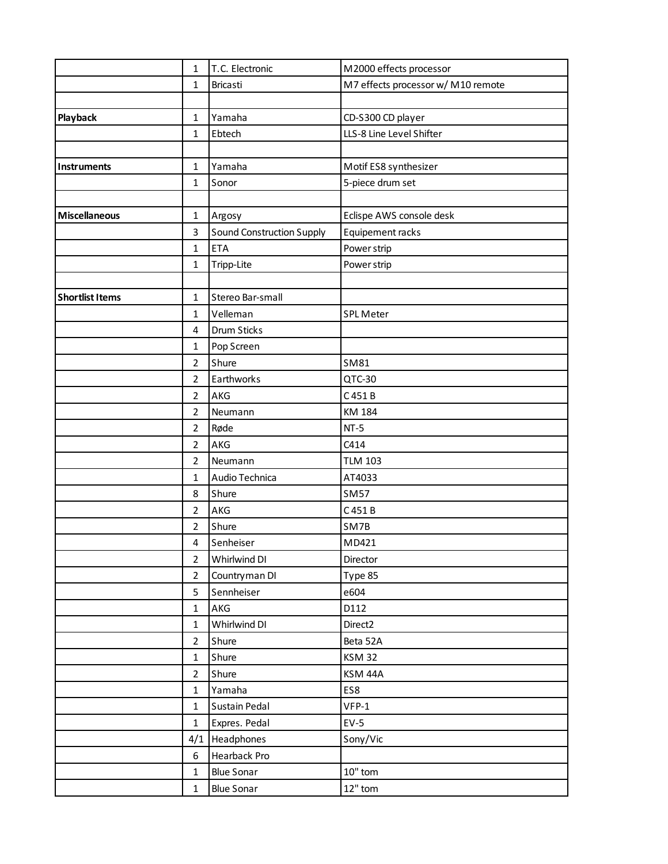|                        | $\mathbf{1}$   | T.C. Electronic                  | M2000 effects processor            |
|------------------------|----------------|----------------------------------|------------------------------------|
|                        | $\mathbf{1}$   | Bricasti                         | M7 effects processor w/ M10 remote |
|                        |                |                                  |                                    |
| Playback               | $\mathbf{1}$   | Yamaha                           | CD-S300 CD player                  |
|                        | $\mathbf{1}$   | Ebtech                           | LLS-8 Line Level Shifter           |
|                        |                |                                  |                                    |
| Instruments            | $\mathbf{1}$   | Yamaha                           | Motif ES8 synthesizer              |
|                        | $\mathbf{1}$   | Sonor                            | 5-piece drum set                   |
|                        |                |                                  |                                    |
| <b>Miscellaneous</b>   | $\mathbf{1}$   | Argosy                           | Eclispe AWS console desk           |
|                        | 3              | <b>Sound Construction Supply</b> | Equipement racks                   |
|                        | $\mathbf{1}$   | <b>ETA</b>                       | Power strip                        |
|                        | $\mathbf{1}$   | Tripp-Lite                       | Power strip                        |
|                        |                |                                  |                                    |
| <b>Shortlist Items</b> | $\mathbf{1}$   | Stereo Bar-small                 |                                    |
|                        | $\mathbf{1}$   | Velleman                         | <b>SPL Meter</b>                   |
|                        | 4              | <b>Drum Sticks</b>               |                                    |
|                        | $\mathbf{1}$   | Pop Screen                       |                                    |
|                        | $\overline{2}$ | Shure                            | SM81                               |
|                        | $\overline{2}$ | Earthworks                       | QTC-30                             |
|                        | $\overline{2}$ | AKG                              | C 451 B                            |
|                        | $\overline{2}$ | Neumann                          | KM 184                             |
|                        | $\overline{2}$ | Røde                             | $NT-5$                             |
|                        | $\overline{2}$ | AKG                              | C414                               |
|                        | $\overline{2}$ | Neumann                          | <b>TLM 103</b>                     |
|                        | $\mathbf{1}$   | Audio Technica                   | AT4033                             |
|                        | 8              | Shure                            | <b>SM57</b>                        |
|                        | $\overline{2}$ | AKG                              | C 451 B                            |
|                        | $\overline{2}$ | Shure                            | SM7B                               |
|                        | 4              | Senheiser                        | MD421                              |
|                        | $\overline{2}$ | Whirlwind DI                     | Director                           |
|                        | $\overline{2}$ | Countryman DI                    | Type 85                            |
|                        | 5              | Sennheiser                       | e604                               |
|                        | $\mathbf{1}$   | AKG                              | D112                               |
|                        | $\mathbf{1}$   | Whirlwind DI                     | Direct2                            |
|                        | $\overline{2}$ | Shure                            | Beta 52A                           |
|                        | $\mathbf{1}$   | Shure                            | <b>KSM 32</b>                      |
|                        | $\overline{2}$ | Shure                            | KSM 44A                            |
|                        | $\mathbf{1}$   | Yamaha                           | ES8                                |
|                        | $\mathbf{1}$   | <b>Sustain Pedal</b>             | $VFP-1$                            |
|                        | $\mathbf{1}$   | Expres. Pedal                    | $EV-5$                             |
|                        | 4/1            | Headphones                       | Sony/Vic                           |
|                        | 6              | Hearback Pro                     |                                    |
|                        | $\mathbf{1}$   | <b>Blue Sonar</b>                | $10"$ tom                          |
|                        | $\mathbf{1}$   | <b>Blue Sonar</b>                | $12"$ tom                          |